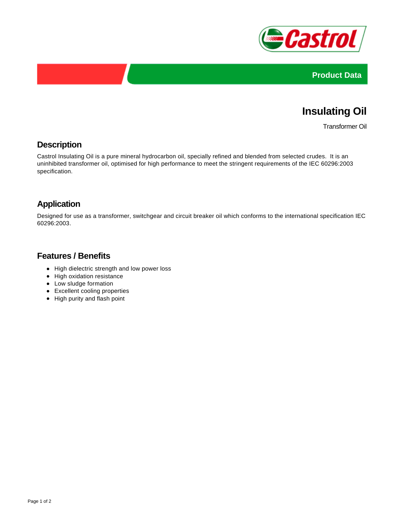



# **Insulating Oil**

Transformer Oil

#### **Description**

Castrol Insulating Oil is a pure mineral hydrocarbon oil, specially refined and blended from selected crudes. It is an uninhibited transformer oil, optimised for high performance to meet the stringent requirements of the IEC 60296:2003 specification.

#### **Application**

Designed for use as a transformer, switchgear and circuit breaker oil which conforms to the international specification IEC 60296:2003.

#### **Features / Benefits**

- High dielectric strength and low power loss
- High oxidation resistance
- Low sludge formation
- Excellent cooling properties
- High purity and flash point